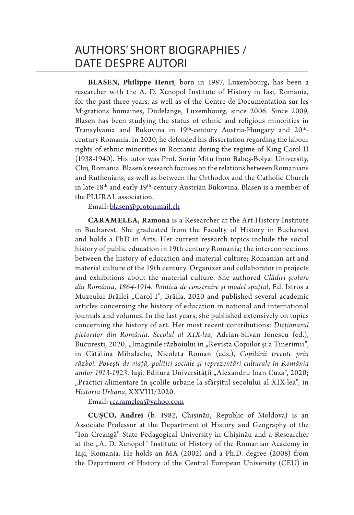**BLASEN, Philippe Henri**, born in 1987, Luxembourg, has been a researcher with the A. D. Xenopol Institute of History in Iasi, Romania, for the past three years, as well as of the Centre de Documentation sur les Migrations humaines, Dudelange, Luxembourg, since 2006. Since 2009, Blasen has been studying the status of ethnic and religious minorities in Transylvania and Bukovina in 19<sup>th</sup>-century Austria-Hungary and 20<sup>th</sup>century Romania. In 2020, he defended his dissertation regarding the labour rights of ethnic minorities in Romania during the regime of King Carol II (1938-1940). His tutor was Prof. Sorin Mitu from Babeș-Bolyai University, Cluj, Romania. Blasen's research focuses on the relations between Romanians and Ruthenians, as well as between the Orthodox and the Catholic Church in late  $18<sup>th</sup>$  and early  $19<sup>th</sup>$ -century Austrian Bukovina. Blasen is a member of the PLURAL association.

Email: blasen@protonmail.ch

**CAR AMELEA, Ramona** is a Researcher at the Art History Institute in Bucharest. She graduated from the Faculty of History in Bucharest and holds a PhD in Arts. Her current research topics include the social history of public education in 19th century Romania; the interconnections between the history of education and material culture; Romanian art and material culture of the 19th century. Organizer and collaborator in projects and exhibitions about the material culture. She authored *Clădiri școlare din România, 1864-1914. Politică de construire și model spațial*, Ed. Istros a Muzeului Brăilei "Carol I", Brăila, 2020 and published several academic articles concerning the history of education in national and international journals and volumes. In the last years, she published extensively on topics concerning the history of art. Her most recent contributions: *Dicționarul pictorilor din România. Secolul al XIX-lea*, Adrian-Silvan Ionescu (ed.), București, 2020; "Imaginile războiului în "Revista Copiilor și a Tinerimii", in Cătălina Mihalache, Nicoleta Roman (eds.), *Copilării trecute prin război. Povești de viață, politici sociale și reprezentări culturale în România anilor 1913-1923*, Iaşi, Editura Universităţii "Alexandru Ioan Cuza", 2020; "Practici alimentare în școlile urbane la sfârșitul secolului al XIX-lea", in *Historia Urbana*, XXVIII/2020.

Email: rcaramelea@yahoo.com

**CUȘCO, Andrei** (b. 1982, Chișinău, Republic of Moldova) is an Associate Professor at the Department of History and Geography of the "Ion Creangă" State Pedagogical University in Chișinău and a Researcher at the "A. D. Xenopol" Institute of History of the Romanian Academy in Iași, Romania. He holds an MA (2002) and a Ph.D. degree (2008) from the Department of History of the Central European University (CEU) in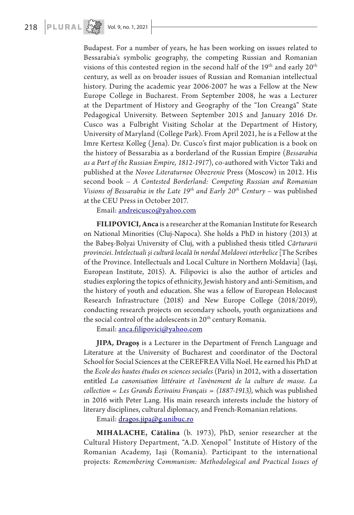

Budapest. For a number of years, he has been working on issues related to Bessarabia's symbolic geography, the competing Russian and Romanian visions of this contested region in the second half of the  $19<sup>th</sup>$  and early  $20<sup>th</sup>$ century, as well as on broader issues of Russian and Romanian intellectual history. During the academic year 2006-2007 he was a Fellow at the New Europe College in Bucharest. From September 2008, he was a Lecturer at the Department of History and Geography of the "Ion Creangă" State Pedagogical University. Between September 2015 and January 2016 Dr. Cusco was a Fulbright Visiting Scholar at the Department of History, University of Maryland (College Park). From April 2021, he is a Fellow at the Imre Kertesz Kolleg (Jena). Dr. Cusco's first major publication is a book on the history of Bessarabia as a borderland of the Russian Empire (*Bessarabia as a Part of the Russian Empire, 1812-1917*), co-authored with Victor Taki and published at the *Novoe Literaturnoe Obozrenie* Press (Moscow) in 2012. His second book – *A Contested Borderland: Competing Russian and Romanian Visions of Bessarabia in the Late 19th and Early 20th Century* – was published at the CEU Press in October 2017.

Email: andreicusco@yahoo.com

**FILIPOVICI, Anca** is a researcher at the Romanian Institute for Research on National Minorities (Cluj-Napoca). She holds a PhD in history (2013) at the Babeş-Bolyai University of Cluj, with a published thesis titled *Cărturarii provinciei. Intelectuali și cultură locală în nordul Moldovei interbelice* [The Scribes of the Province. Intellectuals and Local Culture in Northern Moldavia] (Iaşi, European Institute, 2015). A. Filipovici is also the author of articles and studies exploring the topics of ethnicity, Jewish history and anti-Semitism, and the history of youth and education. She was a fellow of European Holocaust Research Infrastructure (2018) and New Europe College (2018/2019), conducting research projects on secondary schools, youth organizations and the social control of the adolescents in 20<sup>th</sup> century Romania.

Email: anca.filipovici@yahoo.com

**JIPA, Dragoș** is a Lecturer in the Department of French Language and Literature at the University of Bucharest and coordinator of the Doctoral School for Social Sciences at the CEREFREA Villa Noël. He earned his PhD at the *Ecole des hautes études en sciences sociales* (Paris) in 2012, with a dissertation entitled *La canonisation littéraire et l'avènement de la culture de masse. La collection « Les Grands Écrivains Français » (1887-1913)*, which was published in 2016 with Peter Lang. His main research interests include the history of literary disciplines, cultural diplomacy, and French-Romanian relations.

Email: dragos.jipa@g.unibuc.ro

**MIHALACHE, Cătălina** (b. 1973), PhD, senior researcher at the Cultural History Department, "A.D. Xenopol" Institute of History of the Romanian Academy, Iaşi (Romania). Participant to the international projects: *Remembering Communism: Methodological and Practical Issues of*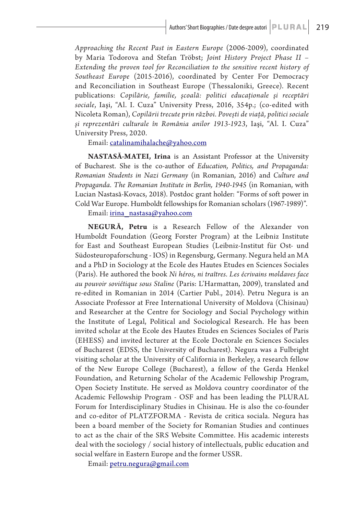*Approaching the Recent Past in Eastern Europe* (2006-2009), coordinated by Maria Todorova and Stefan Tröbst; *Joint History Project Phase II – Extending the proven tool for Reconciliation to the sensitive recent history of Southeast Europe* (2015-2016), coordinated by Center For Democracy and Reconciliation in Southeast Europe (Thessaloniki, Greece). Recent publications: *Copilărie, familie, şcoală: politici educaţionale şi receptări sociale*, Iaşi, "Al. I. Cuza" University Press, 2016, 354p.; (co-edited with Nicoleta Roman), *Copilării trecute prin război. Povești de viață, politici sociale și reprezentări culturale în România anilor 1913-1923*, Iaşi, "Al. I. Cuza" University Press, 2020.

Email: catalinamihalache@yahoo.com

**NASTASĂ-MATEI, Irina** is an Assistant Professor at the University of Bucharest. She is the co-author of *Education, Politics, and Propaganda: Romanian Students in Nazi Germany* (in Romanian, 2016) and *Culture and Propaganda. The Romanian Institute in Berlin, 1940-1945* (in Romanian, with Lucian Nastasă-Kovacs, 2018). Postdoc grant holder: "Forms of soft power in Cold War Europe. Humboldt fellowships for Romanian scholars (1967-1989)".

Email: irina\_nastasa@yahoo.com

**NEGUR Ă, Petru** is a Research Fellow of the Alexander von Humboldt Foundation (Georg Forster Program) at the Leibniz Institute for East and Southeast European Studies (Leibniz-Institut für Ost- und Südosteuropaforschung - IOS) in Regensburg, Germany. Negura held an MA and a PhD in Sociology at the Ecole des Hautes Etudes en Sciences Sociales (Paris). He authored the book *Ni héros, ni traîtres. Les écrivains moldaves face au pouvoir soviétique sous Staline* (Paris: L'Harmattan, 2009), translated and re-edited in Romanian in 2014 (Cartier Publ., 2014). Petru Negura is an Associate Professor at Free International University of Moldova (Chisinau) and Researcher at the Centre for Sociology and Social Psychology within the Institute of Legal, Political and Sociological Research. He has been invited scholar at the Ecole des Hautes Etudes en Sciences Sociales of Paris (EHESS) and invited lecturer at the Ecole Doctorale en Sciences Sociales of Bucharest (EDSS, the University of Bucharest). Negura was a Fulbright visiting scholar at the University of California in Berkeley, a research fellow of the New Europe College (Bucharest), a fellow of the Gerda Henkel Foundation, and Returning Scholar of the Academic Fellowship Program, Open Society Institute. He served as Moldova country coordinator of the Academic Fellowship Program - OSF and has been leading the PLURAL Forum for Interdisciplinary Studies in Chisinau. He is also the co-founder and co-editor of PLATZFORMA - Revista de critica sociala. Negura has been a board member of the Society for Romanian Studies and continues to act as the chair of the SRS Website Committee. His academic interests deal with the sociology / social history of intellectuals, public education and social welfare in Eastern Europe and the former USSR.

Email: petru.negura@gmail.com